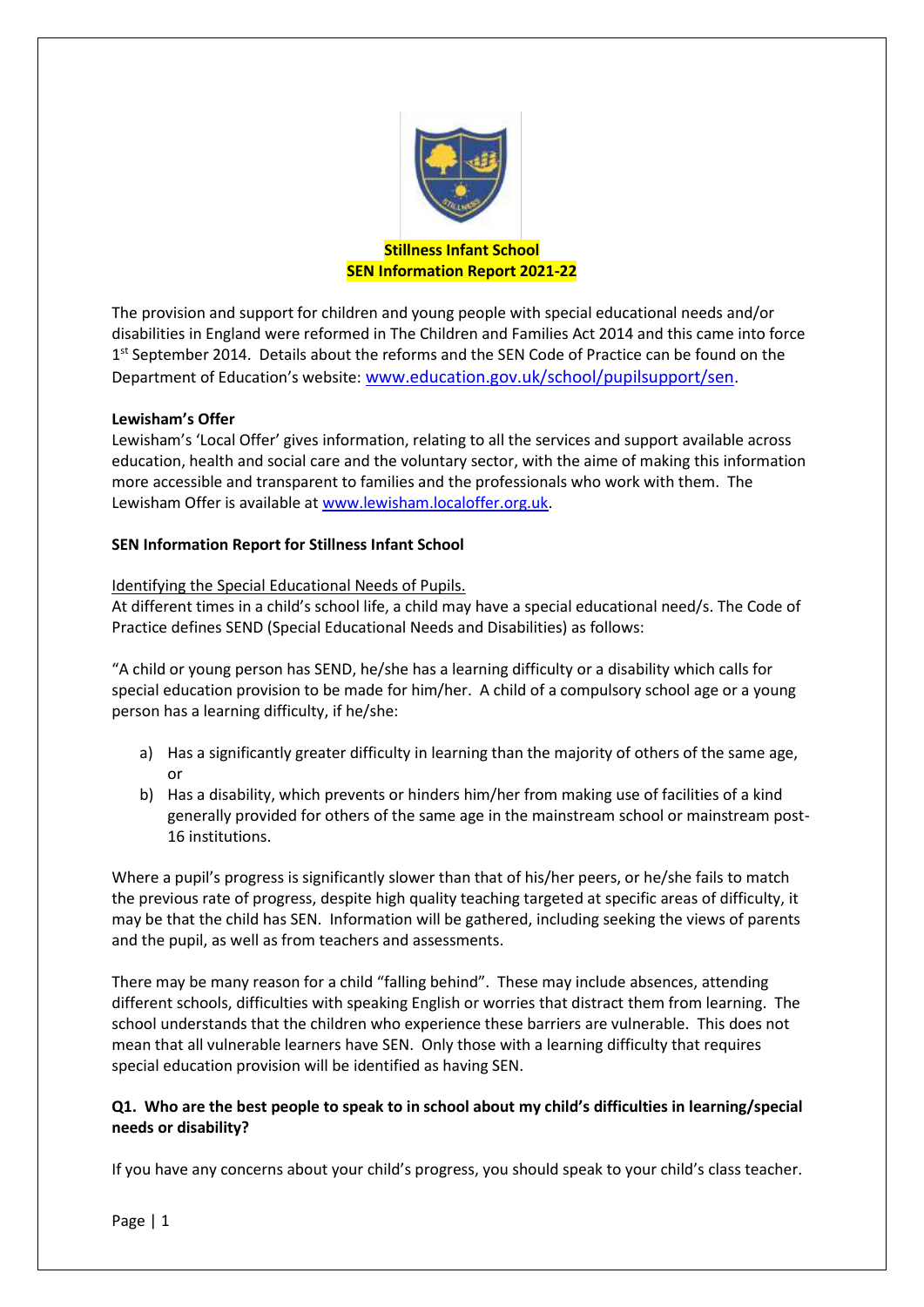

## **Stillness Infant School SEN Information Report 2021-22**

The provision and support for children and young people with special educational needs and/or disabilities in England were reformed in The Children and Families Act 2014 and this came into force 1<sup>st</sup> September 2014. Details about the reforms and the SEN Code of Practice can be found on the Department of Education's website: [www.education.gov.uk/school/pupilsupport/sen](http://www.education.gov.uk/school/pupilsupport/sen).

## **Lewisham's Offer**

Lewisham's 'Local Offer' gives information, relating to all the services and support available across education, health and social care and the voluntary sector, with the aime of making this information more accessible and transparent to families and the professionals who work with them. The Lewisham Offer is available a[t www.lewisham.localoffer.org.uk.](http://www.lewisham.localoffer.org.uk/)

### **SEN Information Report for Stillness Infant School**

## Identifying the Special Educational Needs of Pupils.

At different times in a child's school life, a child may have a special educational need/s. The Code of Practice defines SEND (Special Educational Needs and Disabilities) as follows:

"A child or young person has SEND, he/she has a learning difficulty or a disability which calls for special education provision to be made for him/her. A child of a compulsory school age or a young person has a learning difficulty, if he/she:

- a) Has a significantly greater difficulty in learning than the majority of others of the same age, or
- b) Has a disability, which prevents or hinders him/her from making use of facilities of a kind generally provided for others of the same age in the mainstream school or mainstream post-16 institutions.

Where a pupil's progress is significantly slower than that of his/her peers, or he/she fails to match the previous rate of progress, despite high quality teaching targeted at specific areas of difficulty, it may be that the child has SEN. Information will be gathered, including seeking the views of parents and the pupil, as well as from teachers and assessments.

There may be many reason for a child "falling behind". These may include absences, attending different schools, difficulties with speaking English or worries that distract them from learning. The school understands that the children who experience these barriers are vulnerable. This does not mean that all vulnerable learners have SEN. Only those with a learning difficulty that requires special education provision will be identified as having SEN.

# **Q1. Who are the best people to speak to in school about my child's difficulties in learning/special needs or disability?**

If you have any concerns about your child's progress, you should speak to your child's class teacher.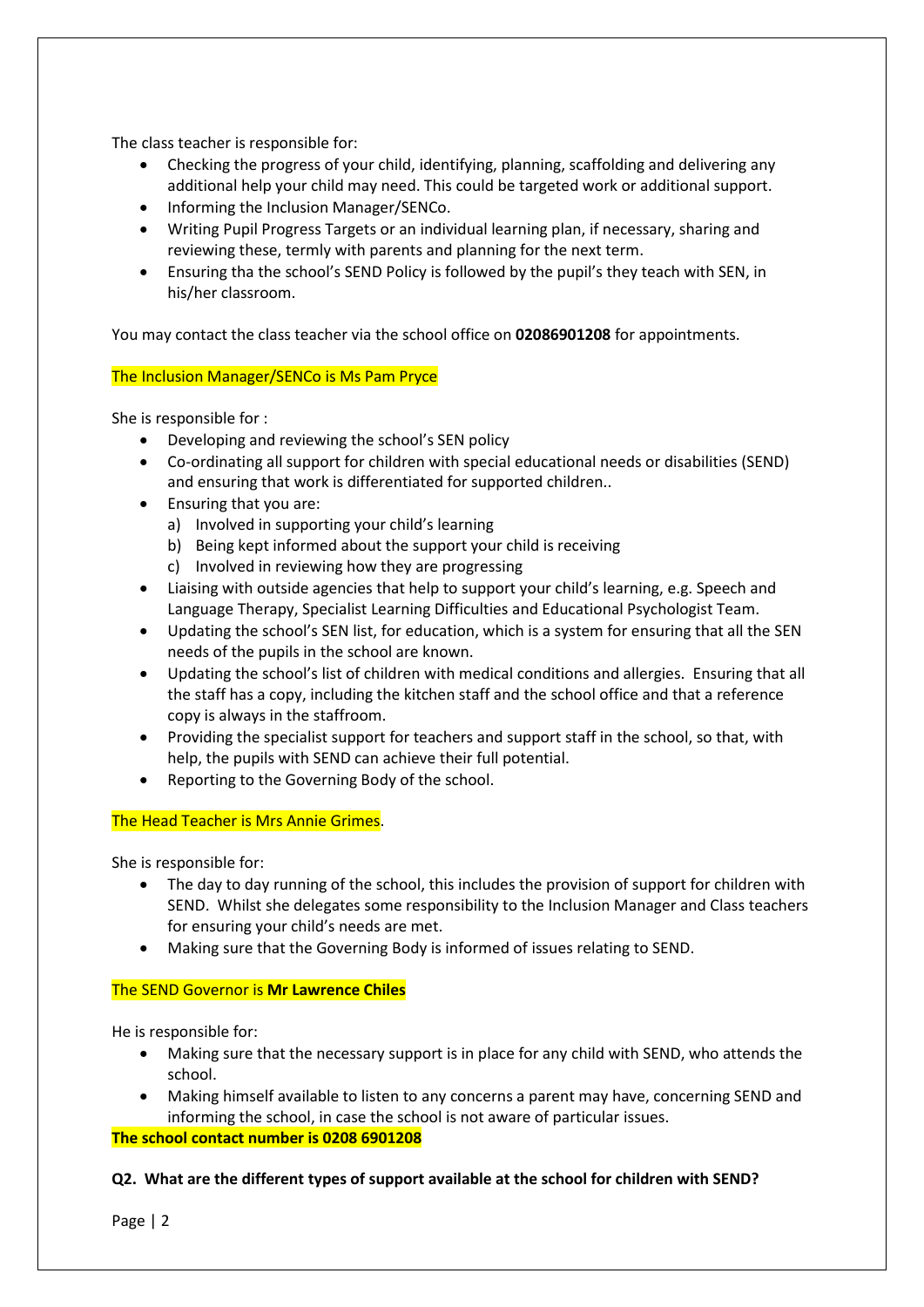The class teacher is responsible for:

- Checking the progress of your child, identifying, planning, scaffolding and delivering any additional help your child may need. This could be targeted work or additional support.
- Informing the Inclusion Manager/SENCo.
- Writing Pupil Progress Targets or an individual learning plan, if necessary, sharing and reviewing these, termly with parents and planning for the next term.
- Ensuring tha the school's SEND Policy is followed by the pupil's they teach with SEN, in his/her classroom.

You may contact the class teacher via the school office on **02086901208** for appointments.

## The Inclusion Manager/SENCo is Ms Pam Pryce

She is responsible for :

- Developing and reviewing the school's SEN policy
- Co-ordinating all support for children with special educational needs or disabilities (SEND) and ensuring that work is differentiated for supported children..
- Ensuring that you are:
	- a) Involved in supporting your child's learning
	- b) Being kept informed about the support your child is receiving
	- c) Involved in reviewing how they are progressing
- Liaising with outside agencies that help to support your child's learning, e.g. Speech and Language Therapy, Specialist Learning Difficulties and Educational Psychologist Team.
- Updating the school's SEN list, for education, which is a system for ensuring that all the SEN needs of the pupils in the school are known.
- Updating the school's list of children with medical conditions and allergies. Ensuring that all the staff has a copy, including the kitchen staff and the school office and that a reference copy is always in the staffroom.
- Providing the specialist support for teachers and support staff in the school, so that, with help, the pupils with SEND can achieve their full potential.
- Reporting to the Governing Body of the school.

### The Head Teacher is Mrs Annie Grimes.

She is responsible for:

- The day to day running of the school, this includes the provision of support for children with SEND. Whilst she delegates some responsibility to the Inclusion Manager and Class teachers for ensuring your child's needs are met.
- Making sure that the Governing Body is informed of issues relating to SEND.

### The SEND Governor is **Mr Lawrence Chiles**

He is responsible for:

- Making sure that the necessary support is in place for any child with SEND, who attends the school.
- Making himself available to listen to any concerns a parent may have, concerning SEND and informing the school, in case the school is not aware of particular issues.

### **The school contact number is 0208 6901208**

# **Q2. What are the different types of support available at the school for children with SEND?**

Page | 2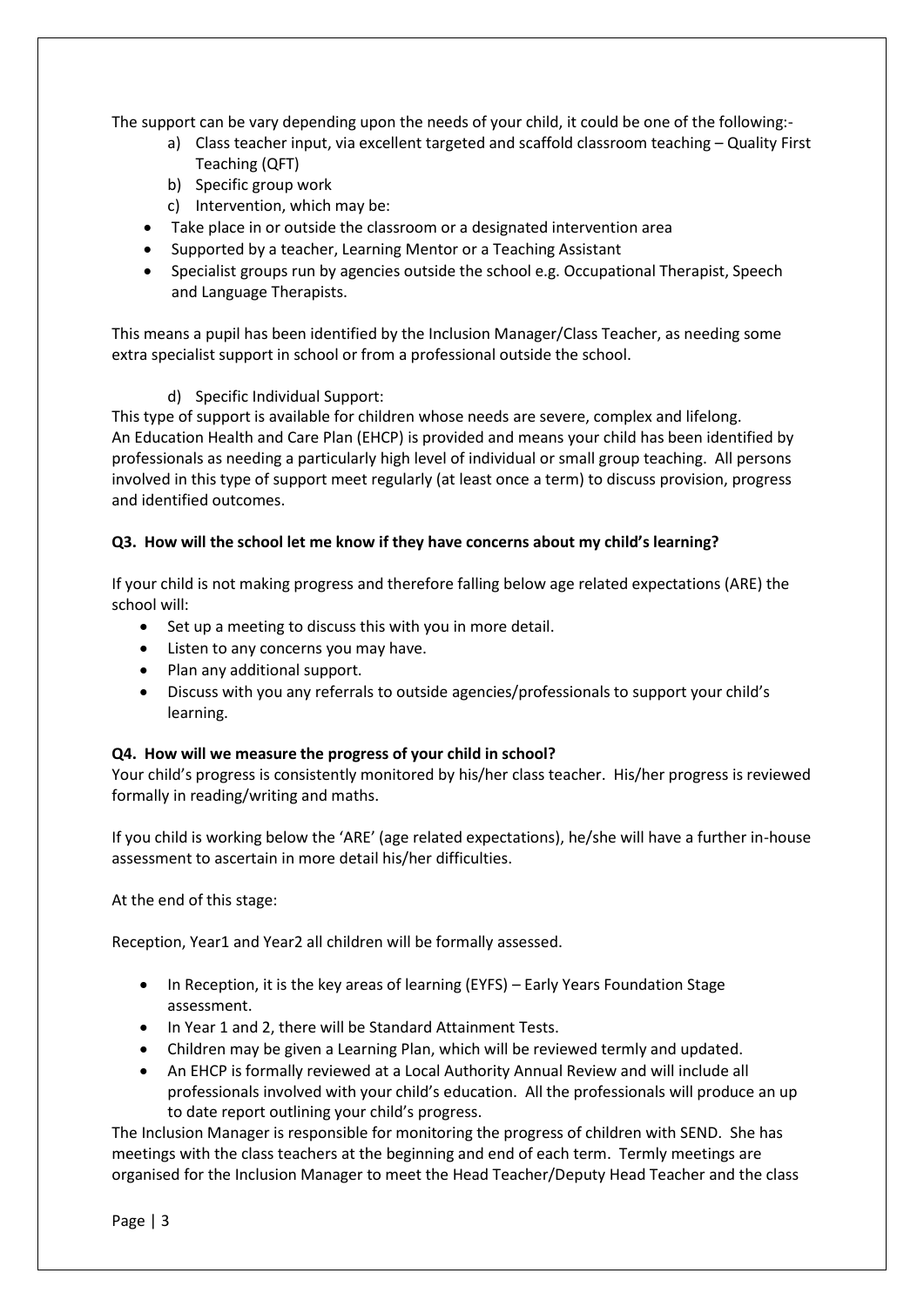The support can be vary depending upon the needs of your child, it could be one of the following:-

- a) Class teacher input, via excellent targeted and scaffold classroom teaching Quality First Teaching (QFT)
- b) Specific group work
- c) Intervention, which may be:
- Take place in or outside the classroom or a designated intervention area
- Supported by a teacher, Learning Mentor or a Teaching Assistant
- Specialist groups run by agencies outside the school e.g. Occupational Therapist, Speech and Language Therapists.

This means a pupil has been identified by the Inclusion Manager/Class Teacher, as needing some extra specialist support in school or from a professional outside the school.

# d) Specific Individual Support:

This type of support is available for children whose needs are severe, complex and lifelong. An Education Health and Care Plan (EHCP) is provided and means your child has been identified by professionals as needing a particularly high level of individual or small group teaching. All persons involved in this type of support meet regularly (at least once a term) to discuss provision, progress and identified outcomes.

## **Q3. How will the school let me know if they have concerns about my child's learning?**

If your child is not making progress and therefore falling below age related expectations (ARE) the school will:

- Set up a meeting to discuss this with you in more detail.
- Listen to any concerns you may have.
- Plan any additional support.
- Discuss with you any referrals to outside agencies/professionals to support your child's learning.

### **Q4. How will we measure the progress of your child in school?**

Your child's progress is consistently monitored by his/her class teacher. His/her progress is reviewed formally in reading/writing and maths.

If you child is working below the 'ARE' (age related expectations), he/she will have a further in-house assessment to ascertain in more detail his/her difficulties.

At the end of this stage:

Reception, Year1 and Year2 all children will be formally assessed.

- In Reception, it is the key areas of learning (EYFS) Early Years Foundation Stage assessment.
- In Year 1 and 2, there will be Standard Attainment Tests.
- Children may be given a Learning Plan, which will be reviewed termly and updated.
- An EHCP is formally reviewed at a Local Authority Annual Review and will include all professionals involved with your child's education. All the professionals will produce an up to date report outlining your child's progress.

The Inclusion Manager is responsible for monitoring the progress of children with SEND. She has meetings with the class teachers at the beginning and end of each term. Termly meetings are organised for the Inclusion Manager to meet the Head Teacher/Deputy Head Teacher and the class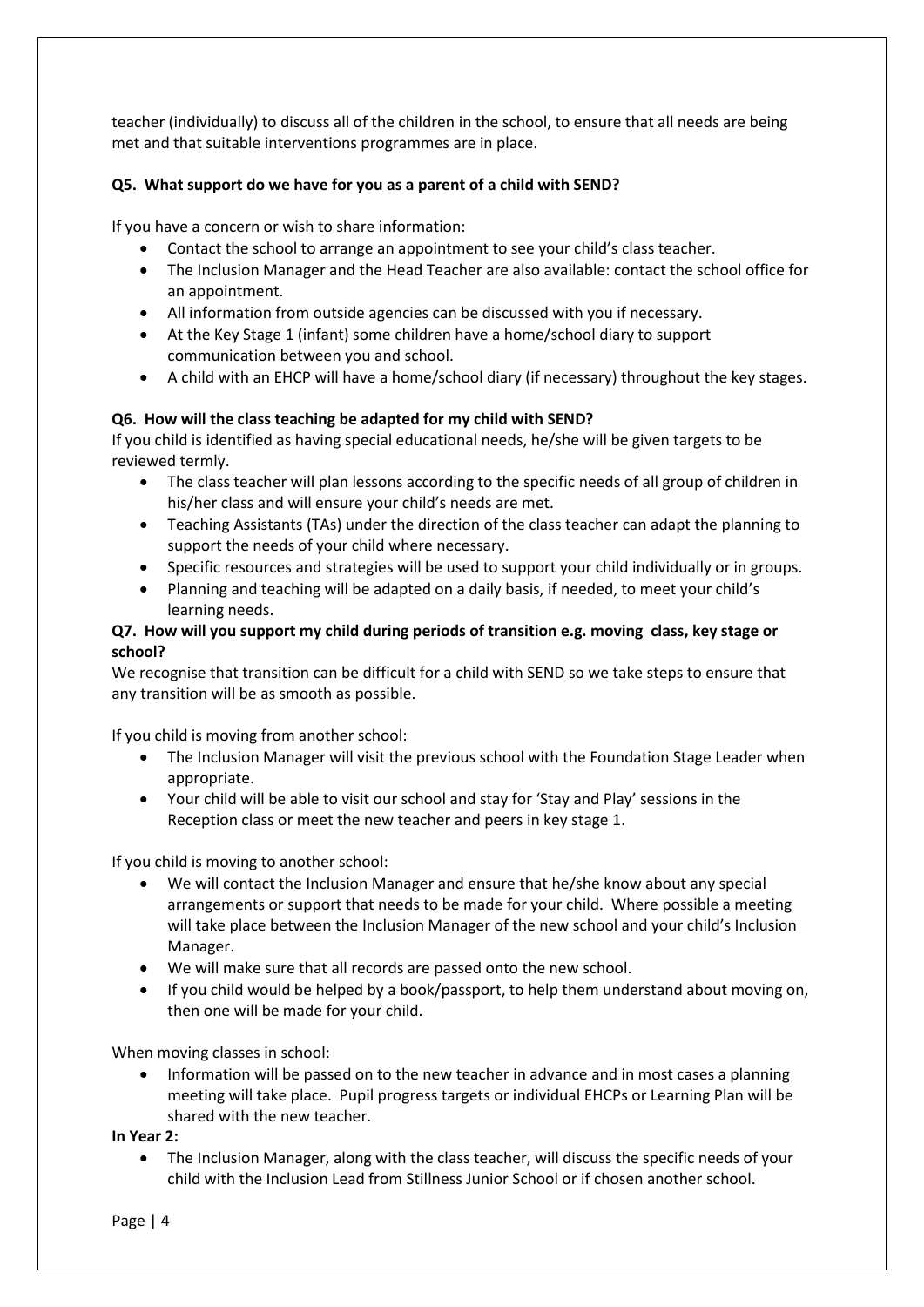teacher (individually) to discuss all of the children in the school, to ensure that all needs are being met and that suitable interventions programmes are in place.

# **Q5. What support do we have for you as a parent of a child with SEND?**

If you have a concern or wish to share information:

- Contact the school to arrange an appointment to see your child's class teacher.
- The Inclusion Manager and the Head Teacher are also available: contact the school office for an appointment.
- All information from outside agencies can be discussed with you if necessary.
- At the Key Stage 1 (infant) some children have a home/school diary to support communication between you and school.
- A child with an EHCP will have a home/school diary (if necessary) throughout the key stages.

# **Q6. How will the class teaching be adapted for my child with SEND?**

If you child is identified as having special educational needs, he/she will be given targets to be reviewed termly.

- The class teacher will plan lessons according to the specific needs of all group of children in his/her class and will ensure your child's needs are met.
- Teaching Assistants (TAs) under the direction of the class teacher can adapt the planning to support the needs of your child where necessary.
- Specific resources and strategies will be used to support your child individually or in groups.
- Planning and teaching will be adapted on a daily basis, if needed, to meet your child's learning needs.

# **Q7. How will you support my child during periods of transition e.g. moving class, key stage or school?**

We recognise that transition can be difficult for a child with SEND so we take steps to ensure that any transition will be as smooth as possible.

If you child is moving from another school:

- The Inclusion Manager will visit the previous school with the Foundation Stage Leader when appropriate.
- Your child will be able to visit our school and stay for 'Stay and Play' sessions in the Reception class or meet the new teacher and peers in key stage 1.

If you child is moving to another school:

- We will contact the Inclusion Manager and ensure that he/she know about any special arrangements or support that needs to be made for your child. Where possible a meeting will take place between the Inclusion Manager of the new school and your child's Inclusion Manager.
- We will make sure that all records are passed onto the new school.
- If you child would be helped by a book/passport, to help them understand about moving on, then one will be made for your child.

When moving classes in school:

• Information will be passed on to the new teacher in advance and in most cases a planning meeting will take place. Pupil progress targets or individual EHCPs or Learning Plan will be shared with the new teacher.

**In Year 2:**

• The Inclusion Manager, along with the class teacher, will discuss the specific needs of your child with the Inclusion Lead from Stillness Junior School or if chosen another school.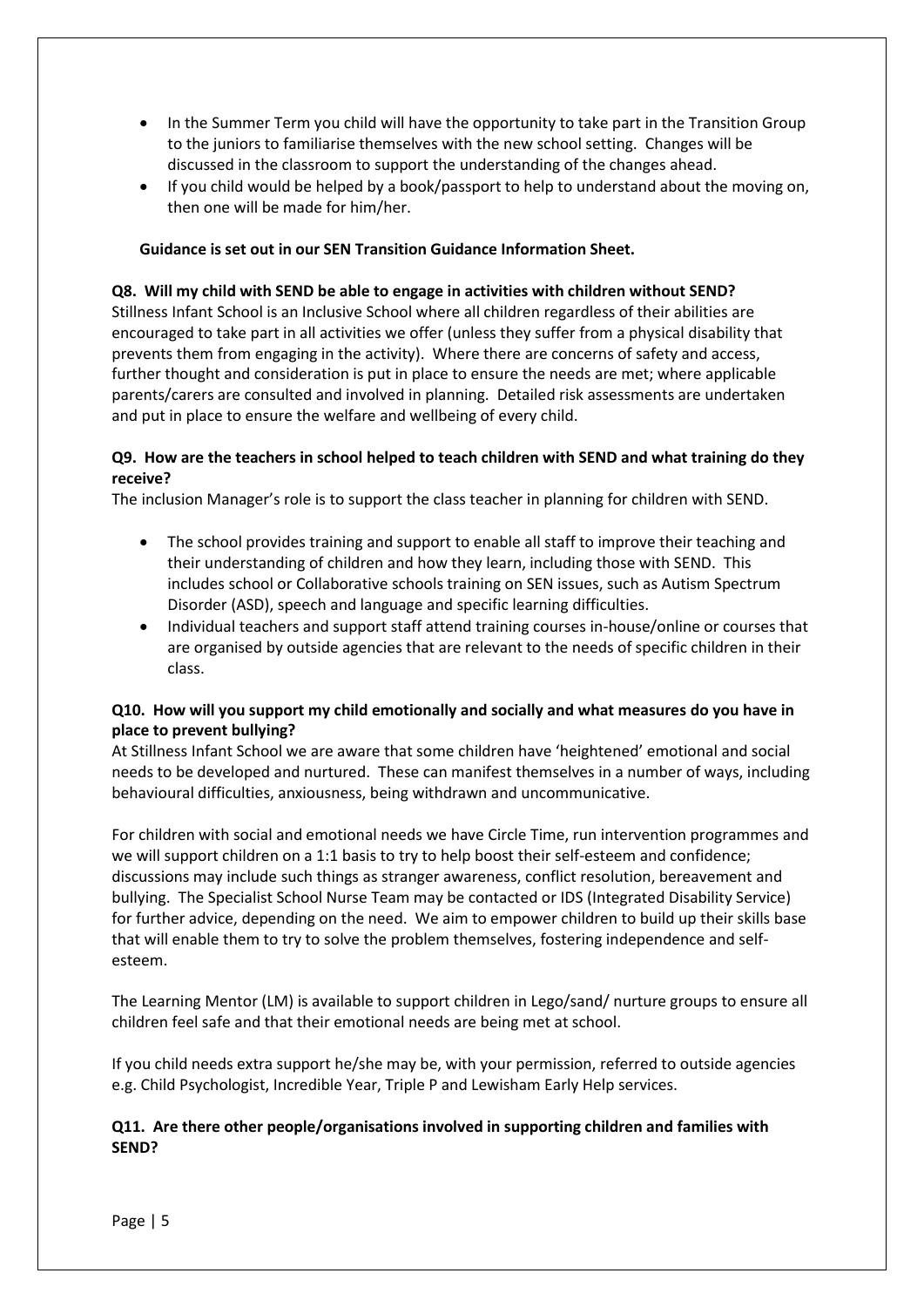- In the Summer Term you child will have the opportunity to take part in the Transition Group to the juniors to familiarise themselves with the new school setting. Changes will be discussed in the classroom to support the understanding of the changes ahead.
- If you child would be helped by a book/passport to help to understand about the moving on, then one will be made for him/her.

## **Guidance is set out in our SEN Transition Guidance Information Sheet.**

### **Q8. Will my child with SEND be able to engage in activities with children without SEND?**

Stillness Infant School is an Inclusive School where all children regardless of their abilities are encouraged to take part in all activities we offer (unless they suffer from a physical disability that prevents them from engaging in the activity). Where there are concerns of safety and access, further thought and consideration is put in place to ensure the needs are met; where applicable parents/carers are consulted and involved in planning. Detailed risk assessments are undertaken and put in place to ensure the welfare and wellbeing of every child.

## **Q9. How are the teachers in school helped to teach children with SEND and what training do they receive?**

The inclusion Manager's role is to support the class teacher in planning for children with SEND.

- The school provides training and support to enable all staff to improve their teaching and their understanding of children and how they learn, including those with SEND. This includes school or Collaborative schools training on SEN issues, such as Autism Spectrum Disorder (ASD), speech and language and specific learning difficulties.
- Individual teachers and support staff attend training courses in-house/online or courses that are organised by outside agencies that are relevant to the needs of specific children in their class.

## **Q10. How will you support my child emotionally and socially and what measures do you have in place to prevent bullying?**

At Stillness Infant School we are aware that some children have 'heightened' emotional and social needs to be developed and nurtured. These can manifest themselves in a number of ways, including behavioural difficulties, anxiousness, being withdrawn and uncommunicative.

For children with social and emotional needs we have Circle Time, run intervention programmes and we will support children on a 1:1 basis to try to help boost their self-esteem and confidence; discussions may include such things as stranger awareness, conflict resolution, bereavement and bullying. The Specialist School Nurse Team may be contacted or IDS (Integrated Disability Service) for further advice, depending on the need. We aim to empower children to build up their skills base that will enable them to try to solve the problem themselves, fostering independence and selfesteem.

The Learning Mentor (LM) is available to support children in Lego/sand/ nurture groups to ensure all children feel safe and that their emotional needs are being met at school.

If you child needs extra support he/she may be, with your permission, referred to outside agencies e.g. Child Psychologist, Incredible Year, Triple P and Lewisham Early Help services.

## **Q11. Are there other people/organisations involved in supporting children and families with SEND?**